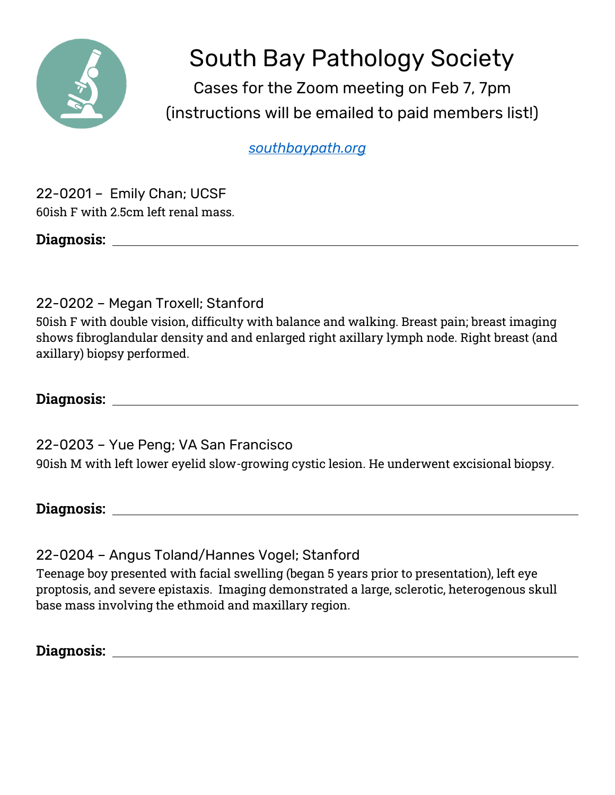

## South Bay Pathology Society

Cases for the Zoom meeting on Feb 7, 7pm (instructions will be emailed to paid members list!)

*[southbaypath.org](https://southbaypath.org/)*

22-0201 – Emily Chan; UCSF 60ish F with 2.5cm left renal mass.

**Diagnosis:** 

22-0202 – Megan Troxell; Stanford

50ish F with double vision, difficulty with balance and walking. Breast pain; breast imaging shows fibroglandular density and and enlarged right axillary lymph node. Right breast (and axillary) biopsy performed.

**Diagnosis:** 

22-0203 – Yue Peng; VA San Francisco 90ish M with left lower eyelid slow-growing cystic lesion. He underwent excisional biopsy.

**Diagnosis:** 

22-0204 – Angus Toland/Hannes Vogel; Stanford

Teenage boy presented with facial swelling (began 5 years prior to presentation), left eye proptosis, and severe epistaxis. Imaging demonstrated a large, sclerotic, heterogenous skull base mass involving the ethmoid and maxillary region.

**Diagnosis:**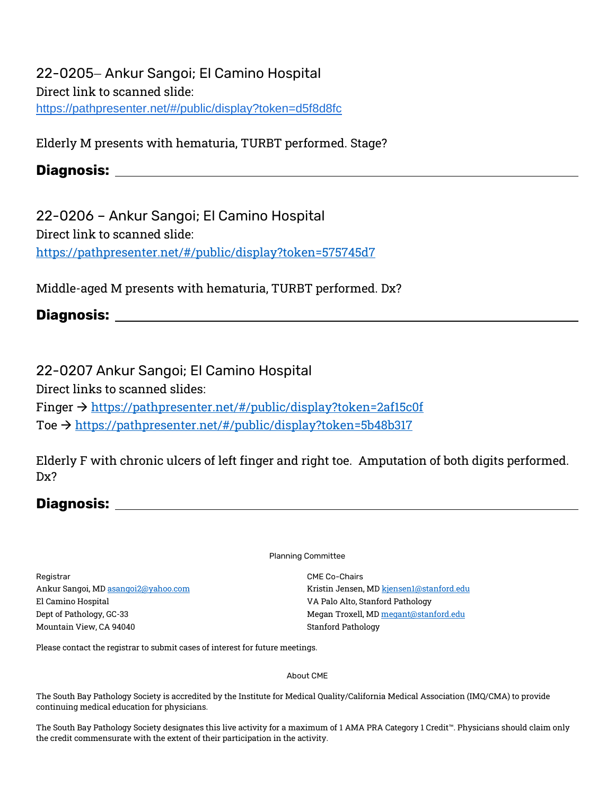22-0205 - Ankur Sangoi; El Camino Hospital Direct link to scanned slide: <https://pathpresenter.net/#/public/display?token=d5f8d8fc>

Elderly M presents with hematuria, TURBT performed. Stage?

## **Diagnosis:**

22-0206 – Ankur Sangoi; El Camino Hospital Direct link to scanned slide: <https://pathpresenter.net/#/public/display?token=575745d7>

Middle-aged M presents with hematuria, TURBT performed. Dx?

**Diagnosis:** 

22-0207 Ankur Sangoi; El Camino Hospital Direct links to scanned slides: Finger → <https://pathpresenter.net/#/public/display?token=2af15c0f> Toe → <https://pathpresenter.net/#/public/display?token=5b48b317>

Elderly F with chronic ulcers of left finger and right toe. Amputation of both digits performed. Dx?

## **Diagnosis:**

Planning Committee

Registrar Ankur Sangoi, MD [asangoi2@yahoo.com](mailto:asangoi2@yahoo.com) El Camino Hospital Dept of Pathology, GC-33 Mountain View, CA 94040

CME Co-Chairs Kristin Jensen, M[D kjensen1@stanford.edu](mailto:kjensen1@stanford.edu) VA Palo Alto, Stanford Pathology Megan Troxell, M[D megant@stanford.edu](mailto:megant@stanford.edu) Stanford Pathology

Please contact the registrar to submit cases of interest for future meetings.

## About CME

The South Bay Pathology Society is accredited by the Institute for Medical Quality/California Medical Association (IMQ/CMA) to provide continuing medical education for physicians.

The South Bay Pathology Society designates this live activity for a maximum of 1 AMA PRA Category 1 Credit™. Physicians should claim only the credit commensurate with the extent of their participation in the activity.